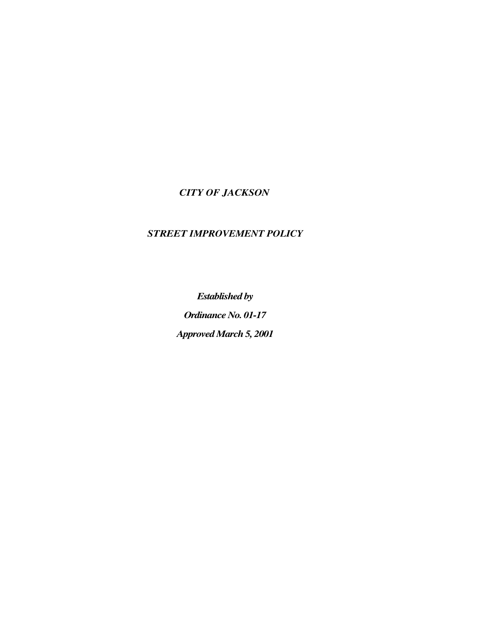# *CITY OF JACKSON*

# *STREET IMPROVEMENT POLICY*

*Established by Ordinance No. 01-17 Approved March 5, 2001*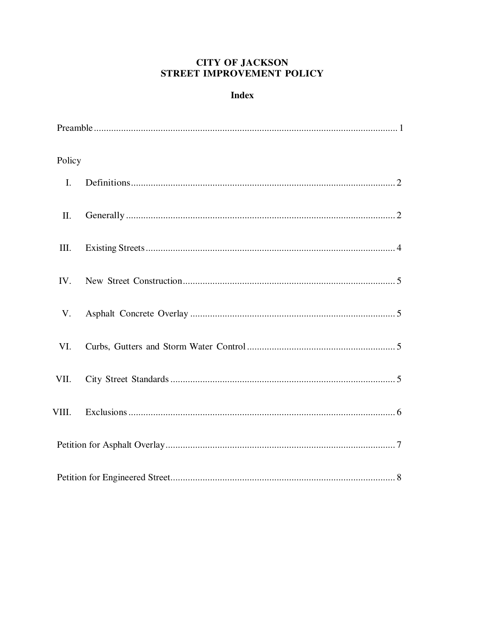## **CITY OF JACKSON** STREET IMPROVEMENT POLICY

## **Index**

| Policy |  |  |  |
|--------|--|--|--|
| I.     |  |  |  |
| II.    |  |  |  |
| III.   |  |  |  |
| IV.    |  |  |  |
| V.     |  |  |  |
| VI.    |  |  |  |
| VII.   |  |  |  |
| VIII.  |  |  |  |
|        |  |  |  |
|        |  |  |  |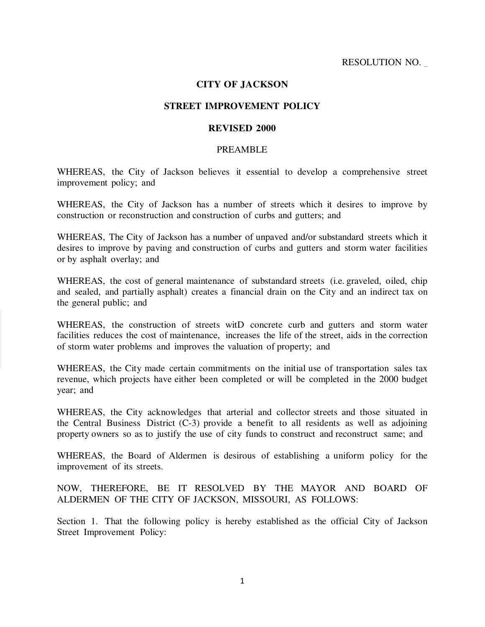### **CITY OF JACKSON**

### **STREET IMPROVEMENT POLICY**

#### **REVISED 2000**

#### PREAMBLE

WHEREAS, the City of Jackson believes it essential to develop a comprehensive street improvement policy; and

WHEREAS, the City of Jackson has a number of streets which it desires to improve by construction or reconstruction and construction of curbs and gutters; and

WHEREAS, The City of Jackson has a number of unpaved and/or substandard streets which it desires to improve by paving and construction of curbs and gutters and storm water facilities or by asphalt overlay; and

WHEREAS, the cost of general maintenance of substandard streets (i.e. graveled, oiled, chip and sealed, and partially asphalt) creates a financial drain on the City and an indirect tax on the general public; and

WHEREAS, the construction of streets witD concrete curb and gutters and storm water facilities reduces the cost of maintenance, increases the life of the street, aids in the correction of storm water problems and improves the valuation of property; and

WHEREAS, the City made certain commitments on the initial use of transportation sales tax revenue, which projects have either been completed or will be completed in the 2000 budget year; and

WHEREAS, the City acknowledges that arterial and collector streets and those situated in the Central Business District (C-3) provide a benefit to all residents as well as adjoining property owners so as to justify the use of city funds to construct and reconstruct same; and

WHEREAS, the Board of Aldermen is desirous of establishing a uniform policy for the improvement of its streets.

NOW, THEREFORE, BE IT RESOLVED BY THE MAYOR AND BOARD OF ALDERMEN OF THE CITY OF JACKSON, MISSOURI, AS FOLLOWS:

Section 1. That the following policy is hereby established as the official City of Jackson Street Improvement Policy: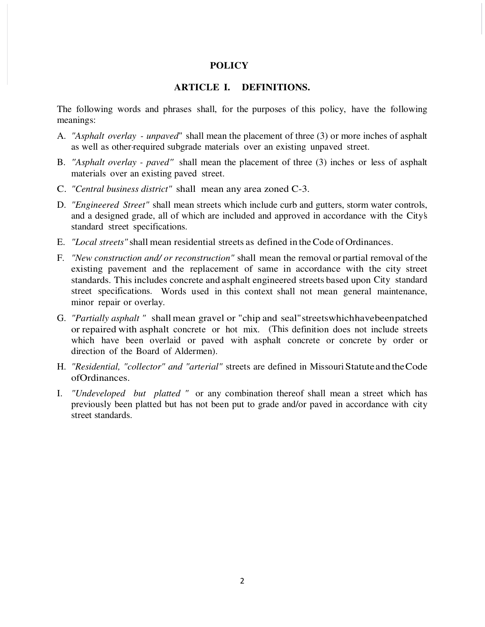#### **POLICY**

## **ARTICLE I. DEFINITIONS.**

The following words and phrases shall, for the purposes of this policy, have the following meanings:

- A. *"Asphalt overlay unpaved*" shall mean the placement of three (3) or more inches of asphalt as well as other-required subgrade materials over an existing unpaved street.
- B. *"Asphalt overlay paved"* shall mean the placement of three (3) inches or less of asphalt materials over an existing paved street.
- C. *"Central business district"* shall mean any area zoned C-3.
- D. *"Engineered Street"* shall mean streets which include curb and gutters, storm water controls, and a designed grade, all of which are included and approved in accordance with the City's standard street specifications.
- E. *"Local streets"* shall mean residential streets as defined in the Code of Ordinances.
- F. *"New construction and/ or reconstruction"* shall mean the removal or partial removal of the existing pavement and the replacement of same in accordance with the city street standards. This includes concrete and asphalt engineered streets based upon City standard street specifications. Words used in this context shall not mean general maintenance, minor repair or overlay.
- G. *"Partially asphalt "* shall mean gravel or "chip and seal" streets which have been patched or repaired with asphalt concrete or hot mix. (This definition does not include streets which have been overlaid or paved with asphalt concrete or concrete by order or direction of the Board of Aldermen).
- H. *"Residential, "collector" and "arterial"* streets are defined in Missouri Statute and the Code of Ordinances.
- I. *"Undeveloped but platted "* or any combination thereof shall mean a street which has previously been platted but has not been put to grade and/or paved in accordance with city street standards.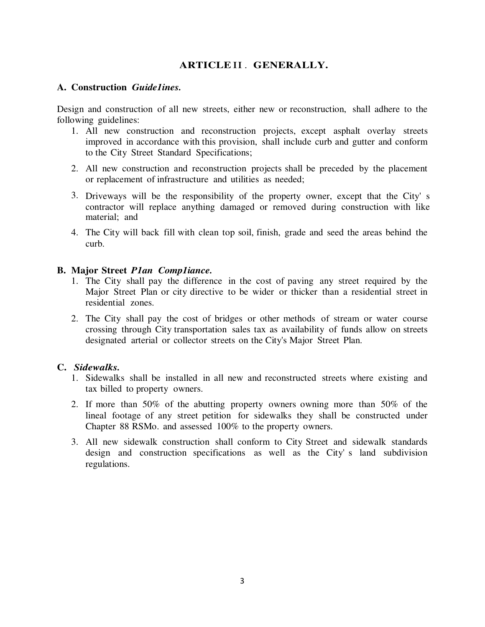## **ARTICLE** II . **GENERALLY.**

### **A. Construction** *Guide1ines.*

Design and construction of all new streets, either new or reconstruction, shall adhere to the following guidelines:

- 1. All new construction and reconstruction projects, except asphalt overlay streets improved in accordance with this provision, shall include curb and gutter and conform to the City Street Standard Specifications;
- 2. All new construction and reconstruction projects shall be preceded by the placement or replacement of infrastructure and utilities as needed;
- 3. Driveways will be the responsibility of the property owner, except that the City' s contractor will replace anything damaged or removed during construction with like material; and
- 4. The City will back fill with clean top soil, finish, grade and seed the areas behind the curb.

## **B. Major Street** *P1an Comp1iance.*

- 1. The City shall pay the difference in the cost of paving any street required by the Major Street Plan or city directive to be wider or thicker than a residential street in residential zones.
- 2. The City shall pay the cost of bridges or other methods of stream or water course crossing through City transportation sales tax as availability of funds allow on streets designated arterial or collector streets on the City's Major Street Plan.

### **C.** *Sidewalks.*

- 1. Sidewalks shall be installed in all new and reconstructed streets where existing and tax billed to property owners.
- 2. If more than 50% of the abutting property owners owning more than 50% of the lineal footage of any street petition for sidewalks they shall be constructed under Chapter 88 RSMo. and assessed 100% to the property owners.
- 3. All new sidewalk construction shall conform to City Street and sidewalk standards design and construction specifications as well as the City' s land subdivision regulations.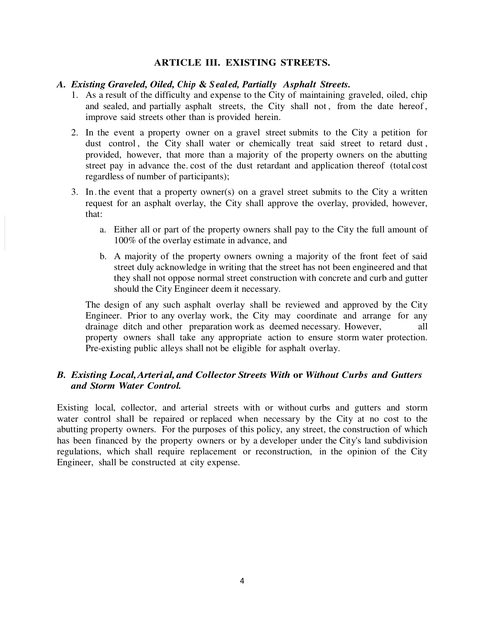## **ARTICLE III. EXISTING STREETS.**

#### A. *Existing Graveled, Oiled, Chip & Sealed, Partially Asphalt Streets.*

- 1. As a result of the difficulty and expense to the City of maintaining graveled, oiled, chip and sealed, and partially asphalt streets, the City shall not, from the date hereof, improve said streets other than is provided herein.
- 2. In the event a property owner on a gravel street submits to the City a petition for dust control, the City shall water or chemically treat said street to retard dust, provided, however, that more than a majority of the property owners on the abutting street pay in advance the. cost of the dust retardant and application thereof (total cost regardless of number of participants);
- 3. In . the event that a property owner(s) on a gravel street submits to the City a written request for an asphalt overlay, the City shall approve the overlay, provided, however, that:
	- a. Either all or part of the property owners shall pay to the City the full amount of 100% of the overlay estimate in advance, and
	- b. A majority of the property owners owning a majority of the front feet of said street duly acknowledge in writing that the street has not been engineered and that they shall not oppose normal street construction with concrete and curb and gutter should the City Engineer deem it necessary.

The design of any such asphalt overlay shall be reviewed and approved by the City Engineer. Prior to any overlay work, the City may coordinate and arrange for any drainage ditch and other preparation work as deemed necessary. However, all property owners shall take any appropriate action to ensure storm water protection. Pre-existing public alleys shall not be eligible for asphalt overlay.

## *B. Existing Local, Arterial, and Collector Streets With or Without Curbs and Gutters and Storm Water Control.*

Existing local, collector, and arterial streets with or without curbs and gutters and storm water control shall be repaired or replaced when necessary by the City at no cost to the abutting property owners. For the purposes of this policy, any street, the construction of which has been financed by the property owners or by a developer under the City's land subdivision regulations, which shall require replacement or reconstruction, in the opinion of the City Engineer, shall be constructed at city expense.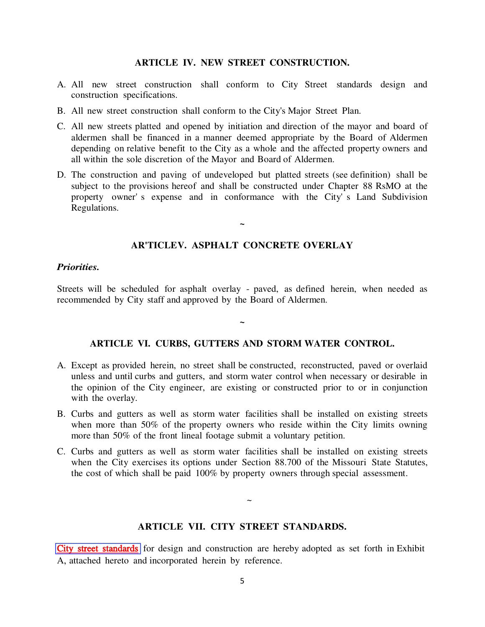#### **ARTICLE IV. NEW STREET CONSTRUCTION.**

- A. All new street construction shall conform to City Street standards design and construction specifications.
- B. All new street construction shall conform to the City's Major Street Plan.
- C. All new streets platted and opened by initiation and direction of the mayor and board of aldermen shall be financed in a manner deemed appropriate by the Board of Aldermen depending on relative benefit to the City as a whole and the affected property owners and all within the sole discretion of the Mayor and Board of Aldermen.
- D. The construction and paving of undeveloped but platted streets (see definition) shall be subject to the provisions hereof and shall be constructed under Chapter 88 RsMO at the property owner' s expense and in conformance with the City' s Land Subdivision Regulations.

### **AR'TICLE V. ASPHALT CONCRETE OVERLAY**

**~** 

#### *Priorities.*

Streets will be scheduled for asphalt overlay - paved, as defined herein, when needed as recommended by City staff and approved by the Board of Aldermen.

#### **ARTICLE VI. CURBS, GUTTERS AND STORM WATER CONTROL.**

**~** 

- A. Except as provided herein, no street shall be constructed, reconstructed, paved or overlaid unless and until curbs and gutters, and storm water control when necessary or desirable in the opinion of the City engineer, are existing or constructed prior to or in conjunction with the overlay.
- B. Curbs and gutters as well as storm water facilities shall be installed on existing streets when more than 50% of the property owners who reside within the City limits owning more than 50% of the front lineal footage submit a voluntary petition.
- C. Curbs and gutters as well as storm water facilities shall be installed on existing streets when the City exercises its options under Section 88.700 of the Missouri State Statutes, the cost of which shall be paid 100% by property owners through special assessment.

#### **ARTICLE VII. CITY STREET STANDARDS.**

 $\sim$ 

City [street standards](http://www.jacksonmo.org//FileStream.aspx?FileID=34) for design and construction are hereby adopted as set forth in Exhibit A, attached hereto and incorporated herein by reference.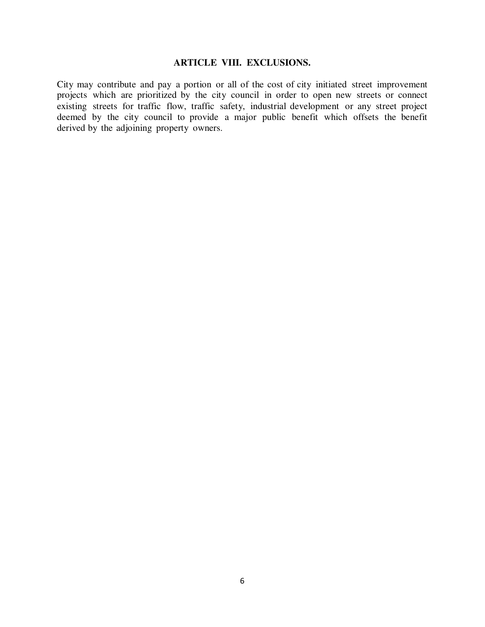## **ARTICLE VIII. EXCLUSIONS.**

City may contribute and pay a portion or all of the cost of city initiated street improvement projects which are prioritized by the city council in order to open new streets or connect existing streets for traffic flow, traffic safety, industrial development or any street project deemed by the city council to provide a major public benefit which offsets the benefit derived by the adjoining property owners.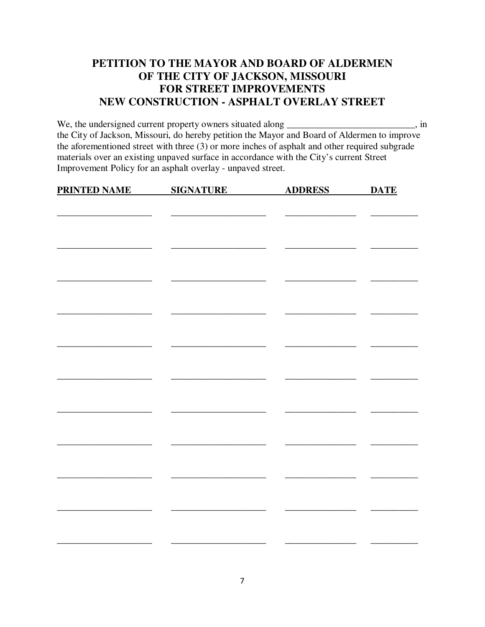# **PETITION TO THE MAYOR AND BOARD OF ALDERMEN OF THE CITY OF JACKSON, MISSOURI FOR STREET IMPROVEMENTS NEW CONSTRUCTION - ASPHALT OVERLAY STREET**

We, the undersigned current property owners situated along \_\_\_\_\_\_\_\_\_\_\_\_\_\_\_\_\_\_\_\_\_\_\_\_\_\_, in the City of Jackson, Missouri, do hereby petition the Mayor and Board of Aldermen to improve the aforementioned street with three (3) or more inches of asphalt and other required subgrade materials over an existing unpaved surface in accordance with the City's current Street Improvement Policy for an asphalt overlay - unpaved street.

| <b>PRINTED NAME</b> | <b>SIGNATURE</b> | <b>ADDRESS</b> | <b>DATE</b> |
|---------------------|------------------|----------------|-------------|
|                     |                  |                |             |
|                     |                  |                |             |
|                     |                  |                |             |
|                     |                  |                |             |
|                     |                  |                |             |
|                     |                  |                |             |
|                     |                  |                |             |
|                     |                  |                |             |
|                     |                  |                |             |
|                     |                  |                |             |
|                     |                  |                |             |
|                     |                  |                |             |
|                     |                  |                |             |
|                     |                  |                |             |
|                     |                  |                |             |
|                     |                  |                |             |
|                     |                  |                |             |
|                     |                  |                |             |
|                     |                  |                |             |
|                     |                  |                |             |
|                     |                  |                |             |
|                     |                  |                |             |
|                     |                  |                |             |
|                     |                  |                |             |
|                     |                  |                |             |
|                     |                  |                |             |